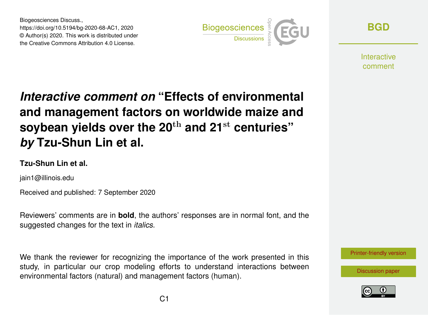Biogeosciences Discuss., https://doi.org/10.5194/bg-2020-68-AC1, 2020 © Author(s) 2020. This work is distributed under the Creative Commons Attribution 4.0 License.



**[BGD](https://bg.copernicus.org/preprints/)**

**Interactive** comment

# *Interactive comment on* **"Effects of environmental and management factors on worldwide maize and soybean yields over the 20**th **and 21**st **centuries"** *by* **Tzu-Shun Lin et al.**

### **Tzu-Shun Lin et al.**

jain1@illinois.edu

Received and published: 7 September 2020

Reviewers' comments are in **bold**, the authors' responses are in normal font, and the suggested changes for the text in *italics*.

We thank the reviewer for recognizing the importance of the work presented in this study, in particular our crop modeling efforts to understand interactions between environmental factors (natural) and management factors (human).



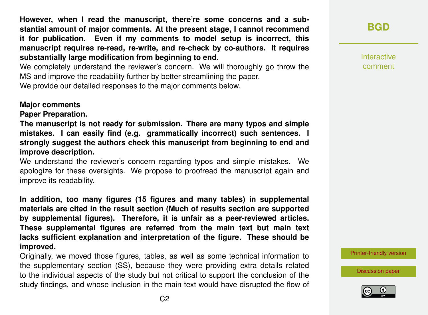**However, when I read the manuscript, there're some concerns and a substantial amount of major comments. At the present stage, I cannot recommend it for publication. Even if my comments to model setup is incorrect, this manuscript requires re-read, re-write, and re-check by co-authors. It requires substantially large modification from beginning to end.**

We completely understand the reviewer's concern. We will thoroughly go throw the MS and improve the readability further by better streamlining the paper. We provide our detailed responses to the major comments below.

#### **Major comments**

**Paper Preparation.**

**The manuscript is not ready for submission. There are many typos and simple mistakes. I can easily find (e.g. grammatically incorrect) such sentences. I strongly suggest the authors check this manuscript from beginning to end and improve description.**

We understand the reviewer's concern regarding typos and simple mistakes. We apologize for these oversights. We propose to proofread the manuscript again and improve its readability.

**In addition, too many figures (15 figures and many tables) in supplemental materials are cited in the result section (Much of results section are supported by supplemental figures). Therefore, it is unfair as a peer-reviewed articles. These supplemental figures are referred from the main text but main text lacks sufficient explanation and interpretation of the figure. These should be improved.**

Originally, we moved those figures, tables, as well as some technical information to the supplementary section (SS), because they were providing extra details related to the individual aspects of the study but not critical to support the conclusion of the study findings, and whose inclusion in the main text would have disrupted the flow of

## **[BGD](https://bg.copernicus.org/preprints/)**

Interactive comment

[Printer-friendly version](https://bg.copernicus.org/preprints/bg-2020-68/bg-2020-68-AC1-print.pdf)

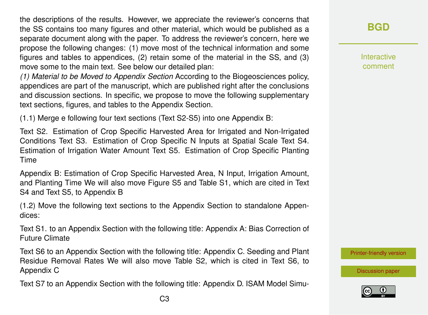the descriptions of the results. However, we appreciate the reviewer's concerns that the SS contains too many figures and other material, which would be published as a separate document along with the paper. To address the reviewer's concern, here we propose the following changes: (1) move most of the technical information and some figures and tables to appendices, (2) retain some of the material in the SS, and (3) move some to the main text. See below our detailed plan:

*(1) Material to be Moved to Appendix Section* According to the Biogeosciences policy, appendices are part of the manuscript, which are published right after the conclusions and discussion sections. In specific, we propose to move the following supplementary text sections, figures, and tables to the Appendix Section.

(1.1) Merge e following four text sections (Text S2-S5) into one Appendix B:

Text S2. Estimation of Crop Specific Harvested Area for Irrigated and Non-Irrigated Conditions Text S3. Estimation of Crop Specific N Inputs at Spatial Scale Text S4. Estimation of Irrigation Water Amount Text S5. Estimation of Crop Specific Planting Time

Appendix B: Estimation of Crop Specific Harvested Area, N Input, Irrigation Amount, and Planting Time We will also move Figure S5 and Table S1, which are cited in Text S4 and Text S5, to Appendix B

(1.2) Move the following text sections to the Appendix Section to standalone Appendices:

Text S1. to an Appendix Section with the following title: Appendix A: Bias Correction of Future Climate

Text S6 to an Appendix Section with the following title: Appendix C. Seeding and Plant Residue Removal Rates We will also move Table S2, which is cited in Text S6, to Appendix C

Text S7 to an Appendix Section with the following title: Appendix D. ISAM Model Simu-

Interactive comment

[Printer-friendly version](https://bg.copernicus.org/preprints/bg-2020-68/bg-2020-68-AC1-print.pdf)

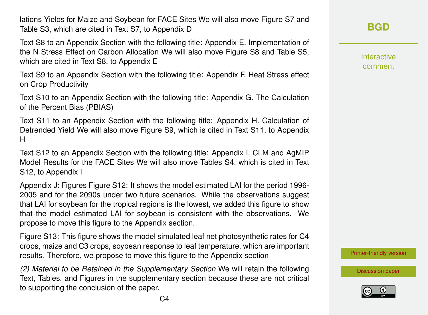lations Yields for Maize and Soybean for FACE Sites We will also move Figure S7 and Table S3, which are cited in Text S7, to Appendix D

Text S8 to an Appendix Section with the following title: Appendix E. Implementation of the N Stress Effect on Carbon Allocation We will also move Figure S8 and Table S5, which are cited in Text S8, to Appendix E

Text S9 to an Appendix Section with the following title: Appendix F. Heat Stress effect on Crop Productivity

Text S10 to an Appendix Section with the following title: Appendix G. The Calculation of the Percent Bias (PBIAS)

Text S11 to an Appendix Section with the following title: Appendix H. Calculation of Detrended Yield We will also move Figure S9, which is cited in Text S11, to Appendix H

Text S12 to an Appendix Section with the following title: Appendix I. CLM and AgMIP Model Results for the FACE Sites We will also move Tables S4, which is cited in Text S12, to Appendix I

Appendix J: Figures Figure S12: It shows the model estimated LAI for the period 1996- 2005 and for the 2090s under two future scenarios. While the observations suggest that LAI for soybean for the tropical regions is the lowest, we added this figure to show that the model estimated LAI for soybean is consistent with the observations. We propose to move this figure to the Appendix section.

Figure S13: This figure shows the model simulated leaf net photosynthetic rates for C4 crops, maize and C3 crops, soybean response to leaf temperature, which are important results. Therefore, we propose to move this figure to the Appendix section

*(2) Material to be Retained in the Supplementary Section* We will retain the following Text, Tables, and Figures in the supplementary section because these are not critical to supporting the conclusion of the paper.

**[BGD](https://bg.copernicus.org/preprints/)**

Interactive comment

[Printer-friendly version](https://bg.copernicus.org/preprints/bg-2020-68/bg-2020-68-AC1-print.pdf)

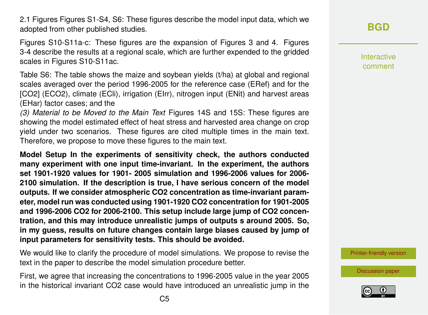2.1 Figures Figures S1-S4, S6: These figures describe the model input data, which we adopted from other published studies.

Figures S10-S11a-c: These figures are the expansion of Figures 3 and 4. Figures 3-4 describe the results at a regional scale, which are further expended to the gridded scales in Figures S10-S11ac.

Table S6: The table shows the maize and soybean yields (t/ha) at global and regional scales averaged over the period 1996-2005 for the reference case (ERef) and for the [CO2] (ECO2), climate (ECli), irrigation (EIrr), nitrogen input (ENit) and harvest areas (EHar) factor cases; and the

*(3) Material to be Moved to the Main Text* Figures 14S and 15S: These figures are showing the model estimated effect of heat stress and harvested area change on crop yield under two scenarios. These figures are cited multiple times in the main text. Therefore, we propose to move these figures to the main text.

**Model Setup In the experiments of sensitivity check, the authors conducted many experiment with one input time-invariant. In the experiment, the authors set 1901-1920 values for 1901- 2005 simulation and 1996-2006 values for 2006- 2100 simulation. If the description is true, I have serious concern of the model outputs. If we consider atmospheric CO2 concentration as time-invariant parameter, model run was conducted using 1901-1920 CO2 concentration for 1901-2005 and 1996-2006 CO2 for 2006-2100. This setup include large jump of CO2 concentration, and this may introduce unrealistic jumps of outputs s around 2005. So, in my guess, results on future changes contain large biases caused by jump of input parameters for sensitivity tests. This should be avoided.**

We would like to clarify the procedure of model simulations. We propose to revise the text in the paper to describe the model simulation procedure better.

First, we agree that increasing the concentrations to 1996-2005 value in the year 2005 in the historical invariant CO2 case would have introduced an unrealistic jump in the Interactive comment

[Printer-friendly version](https://bg.copernicus.org/preprints/bg-2020-68/bg-2020-68-AC1-print.pdf)

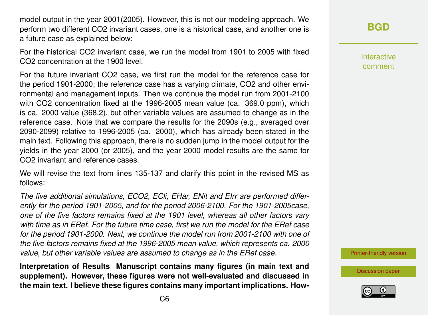model output in the year 2001(2005). However, this is not our modeling approach. We perform two different CO2 invariant cases, one is a historical case, and another one is a future case as explained below:

For the historical CO2 invariant case, we run the model from 1901 to 2005 with fixed CO2 concentration at the 1900 level.

For the future invariant CO2 case, we first run the model for the reference case for the period 1901-2000; the reference case has a varying climate, CO2 and other environmental and management inputs. Then we continue the model run from 2001-2100 with CO2 concentration fixed at the 1996-2005 mean value (ca. 369.0 ppm), which is ca. 2000 value (368.2), but other variable values are assumed to change as in the reference case. Note that we compare the results for the 2090s (e.g., averaged over 2090-2099) relative to 1996-2005 (ca. 2000), which has already been stated in the main text. Following this approach, there is no sudden jump in the model output for the yields in the year 2000 (or 2005), and the year 2000 model results are the same for CO2 invariant and reference cases.

We will revise the text from lines 135-137 and clarify this point in the revised MS as follows:

*The five additional simulations, ECO2, ECli, EHar, ENit and EIrr are performed differently for the period 1901-2005, and for the period 2006-2100. For the 1901-2005case, one of the five factors remains fixed at the 1901 level, whereas all other factors vary with time as in ERef. For the future time case, first we run the model for the ERef case for the period 1901-2000. Next, we continue the model run from 2001-2100 with one of the five factors remains fixed at the 1996-2005 mean value, which represents ca. 2000 value, but other variable values are assumed to change as in the ERef case.*

**Interpretation of Results Manuscript contains many figures (in main text and supplement). However, these figures were not well-evaluated and discussed in the main text. I believe these figures contains many important implications. How-** Interactive comment

[Printer-friendly version](https://bg.copernicus.org/preprints/bg-2020-68/bg-2020-68-AC1-print.pdf)

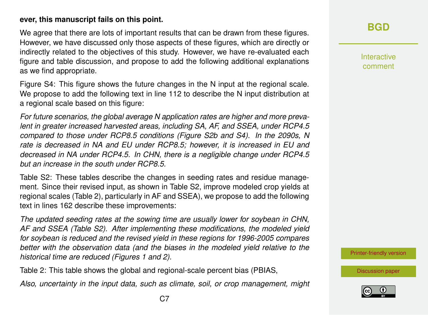#### **ever, this manuscript fails on this point.**

We agree that there are lots of important results that can be drawn from these figures. However, we have discussed only those aspects of these figures, which are directly or indirectly related to the objectives of this study. However, we have re-evaluated each figure and table discussion, and propose to add the following additional explanations as we find appropriate.

Figure S4: This figure shows the future changes in the N input at the regional scale. We propose to add the following text in line 112 to describe the N input distribution at a regional scale based on this figure:

*For future scenarios, the global average N application rates are higher and more prevalent in greater increased harvested areas, including SA, AF, and SSEA, under RCP4.5 compared to those under RCP8.5 conditions (Figure S2b and S4). In the 2090s, N rate is decreased in NA and EU under RCP8.5; however, it is increased in EU and decreased in NA under RCP4.5. In CHN, there is a negligible change under RCP4.5 but an increase in the south under RCP8.5.*

Table S2: These tables describe the changes in seeding rates and residue management. Since their revised input, as shown in Table S2, improve modeled crop yields at regional scales (Table 2), particularly in AF and SSEA), we propose to add the following text in lines 162 describe these improvements:

*The updated seeding rates at the sowing time are usually lower for soybean in CHN, AF and SSEA (Table S2). After implementing these modifications, the modeled yield for soybean is reduced and the revised yield in these regions for 1996-2005 compares better with the observation data (and the biases in the modeled yield relative to the historical time are reduced (Figures 1 and 2).*

Table 2: This table shows the global and regional-scale percent bias (PBIAS,

*Also, uncertainty in the input data, such as climate, soil, or crop management, might*

Interactive comment

[Printer-friendly version](https://bg.copernicus.org/preprints/bg-2020-68/bg-2020-68-AC1-print.pdf)